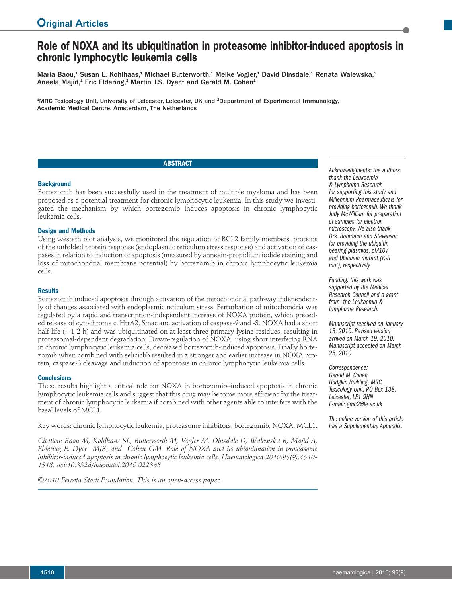# **Role of NOXA and its ubiquitination in proteasome inhibitor-induced apoptosis in chronic lymphocytic leukemia cells**

Maria Baou,<sup>1</sup> Susan L. Kohlhaas,<sup>1</sup> Michael Butterworth,<sup>1</sup> Meike Vogler,<sup>1</sup> David Dinsdale,<sup>1</sup> Renata Walewska,<sup>1</sup> Aneela Majid, $^1$  Eric Eldering, $^2$  Martin J.S. Dyer, $^1$  and Gerald M. Cohen $^1$ 

<sup>1</sup>MRC Toxicology Unit, University of Leicester, Leicester, UK and <sup>2</sup>Department of Experimental Immunology, Academic Medical Centre, Amsterdam, The Netherlands

# **ABSTRACT**

#### **Background**

Bortezomib has been successfully used in the treatment of multiple myeloma and has been proposed as a potential treatment for chronic lymphocytic leukemia. In this study we investigated the mechanism by which bortezomib induces apoptosis in chronic lymphocytic leukemia cells.

# **Design and Methods**

Using western blot analysis, we monitored the regulation of BCL2 family members, proteins of the unfolded protein response (endoplasmic reticulum stress response) and activation of caspases in relation to induction of apoptosis (measured by annexin-propidium iodide staining and loss of mitochondrial membrane potential) by bortezomib in chronic lymphocytic leukemia cells.

#### **Results**

Bortezomib induced apoptosis through activation of the mitochondrial pathway independently of changes associated with endoplasmic reticulum stress. Perturbation of mitochondria was regulated by a rapid and transcription-independent increase of NOXA protein, which preceded release of cytochrome c, HtrA2, Smac and activation of caspase-9 and -3. NOXA had a short half life  $(-1-2 h)$  and was ubiquitinated on at least three primary lysine residues, resulting in proteasomal-dependent degradation. Down-regulation of NOXA, using short interfering RNA in chronic lymphocytic leukemia cells, decreased bortezomib-induced apoptosis. Finally bortezomib when combined with seliciclib resulted in a stronger and earlier increase in NOXA protein, caspase-3 cleavage and induction of apoptosis in chronic lymphocytic leukemia cells.

# **Conclusions**

These results highlight a critical role for NOXA in bortezomib–induced apoptosis in chronic lymphocytic leukemia cells and suggest that this drug may become more efficient for the treatment of chronic lymphocytic leukemia if combined with other agents able to interfere with the basal levels of MCL1.

Key words: chronic lymphocytic leukemia, proteasome inhibitors, bortezomib, NOXA, MCL1.

*Citation: Baou M, Kohlhaas SL, Butterworth M, Vogler M, Dinsdale D, Walewska R, Majid A, Eldering E, Dyer MJS, and Cohen GM. Role of NOXA and its ubiquitination in proteasome inhibitor-induced apoptosis in chronic lymphocytic leukemia cells. Haematologica 2010;95(9):1510- 1518. doi:10.3324/haematol.2010.022368*

*©2010 Ferrata Storti Foundation. This is an open-access paper.*

*Acknowledgments: the authors thank the Leukaemia & Lymphoma Research for supporting this study and Millennium Pharmaceuticals for providing bortezomib.We thank Judy McWilliam for preparation of samples for electron microscopy.We also thank Drs. Bohmann and Stevenson for providing the ubiquitin bearing plasmids, pM107 and Ubiquitin mutant (K-R mut), respectively.*

*Funding: this work was supported by the Medical Research Council and a grant from the Leukaemia & Lymphoma Research.*

*Manuscript received on January 13, 2010. Revised version arrived on March 19, 2010. Manuscript accepted on March 25, 2010.*

*Correspondence: Gerald M. Cohen Hodgkin Building, MRC Toxicology Unit, PO Box 138, Leicester, LE1 9HN E-mail: gmc2@le.ac.uk*

*The online version of this article has a Supplementary Appendix.*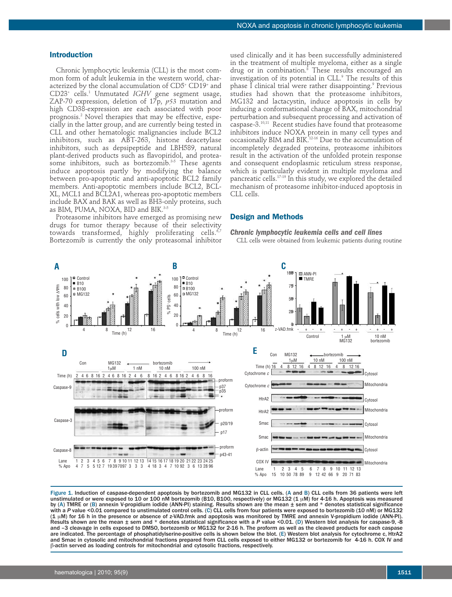# **Introduction**

Chronic lymphocytic leukemia (CLL) is the most common form of adult leukemia in the western world, characterized by the clonal accumulation of CD5+ CD19+ and CD23+ cells. <sup>1</sup> Unmutated *IGHV* gene segment usage, ZAP-70 expression, deletion of 17p, *p53* mutation and high CD38-expression are each associated with poor prognosis. <sup>2</sup> Novel therapies that may be effective, especially in the latter group, and are currently being tested in CLL and other hematologic malignancies include BCL2 inhibitors, such as ABT-263, histone deacetylase inhibitors, such as depsipeptide and LBH589, natural plant-derived products such as flavopiridol, and proteasome inhibitors, such as bortezomib. 3-5 These agents induce apoptosis partly by modifying the balance between pro-apoptotic and anti-apoptotic BCL2 family members. Anti-apoptotic members include BCL2, BCL-XL, MCL1 and BCL2A1, whereas pro-apoptotic members include BAX and BAK as well as BH3-only proteins, such as BIM, PUMA, NOXA, BID and BIK. 3-5

Proteasome inhibitors have emerged as promising new drugs for tumor therapy because of their selectivity towards transformed, highly proliferating cells. 6,7 Bortezomib is currently the only proteasomal inhibitor

used clinically and it has been successfully administered in the treatment of multiple myeloma, either as a single drug or in combination. <sup>8</sup> These results encouraged an investigation of its potential in CLL. <sup>9</sup> The results of this phase I clinical trial were rather disappointing. <sup>9</sup> Previous studies had shown that the proteasome inhibitors, MG132 and lactacystin, induce apoptosis in cells by inducing a conformational change of BAX, mitochondrial perturbation and subsequent processing and activation of caspase-3. 10,11 Recent studies have found that proteasome inhibitors induce NOXA protein in many cell types and occasionally BIM and BIK. 12-16 Due to the accumulation of incompletely degraded proteins, proteasome inhibitors result in the activation of the unfolded protein response and consequent endoplasmic reticulum stress response, which is particularly evident in multiple myeloma and pancreatic cells. 17-19 In this study, we explored the detailed mechanism of proteasome inhibitor-induced apoptosis in CLL cells.

# **Design and Methods**

*Chronic lymphocytic leukemia cells and cell lines* CLL cells were obtained from leukemic patients during routine



Figure 1. Induction of caspase-dependent apoptosis by bortezomib and MG132 in CLL cells. (A and B) CLL cells from 36 patients were left unstimulated or were exposed to 10 or 100 nM bortezomib (B10, B100, respectively) or MG132 (1 µM) for 4-16 h. Apoptosis was measured by (A) TMRE or (B) annexin V-propidium iodide (ANN-PI) staining. Results shown are the mean  $\pm$  sem and \* denotes statistical significance with a *P* value <0.01 compared to unstimulated control cells. (C) CLL cells from four patients were exposed to bortezomib (10 nM) or MG132 (1 mM) for 16 h in the presence or absence of z-VAD.fmk and apoptosis was monitored by TMRE and annexin V-propidium iodide (ANN-PI). Results shown are the mean ± sem and \* denotes statistical significance with a *P* value <0.01. (D) Western blot analysis for caspase-9, -8 and –3 cleavage in cells exposed to DMSO, bortezomib or MG132 for 2-16 h. The proform as well as the cleaved products for each caspase are indicated. The percentage of phosphatidylserine-positive cells is shown below the blot. (E) Western blot analysis for cytochrome c, HtrA2 and Smac in cytosolic and mitochondrial fractions prepared from CLL cells exposed to either MG132 or bortezomib for 4-16 h. COX IV and b-actin served as loading controls for mitochondrial and cytosolic fractions, respectively.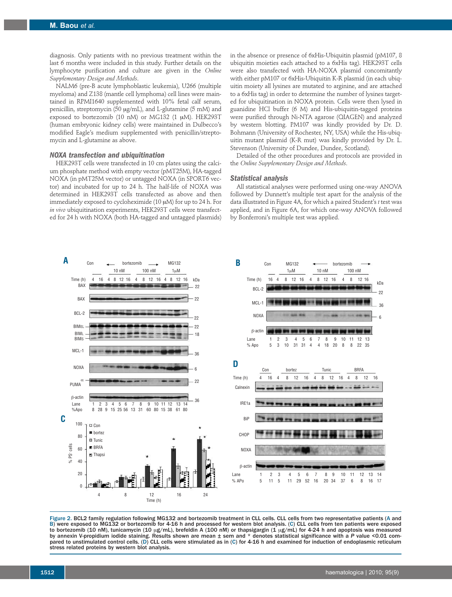diagnosis. Only patients with no previous treatment within the last 6 months were included in this study. Further details on the lymphocyte purification and culture are given in the *Online Supplementary Design and Methods*.

NALM6 (pre-B acute lymphoblastic leukemia), U266 (multiple myeloma) and Z138 (mantle cell lymphoma) cell lines were maintained in RPMI1640 supplemented with 10% fetal calf serum, penicillin, streptomycin (50 µg/mL), and L-glutamine (5 mM) and exposed to bortezomib (10 nM) or MG132 (1 µM). HEK293T (human embryonic kidney cells) were maintained in Dulbecco's modified Eagle's medium supplemented with penicillin/streptomycin and L-glutamine as above.

#### *NOXA transfection and ubiquitination*

HEK293T cells were transfected in 10 cm plates using the calcium phosphate method with empty vector (pMT25M), HA-tagged NOXA (in pMT25M vector) or untagged NOXA (in SPORT6 vector) and incubated for up to 24 h. The half-life of NOXA was determined in HEK293T cells transfected as above and then immediately exposed to cycloheximide (10 µM) for up to 24 h. For *in vivo* ubiquitination experiments, HEK293T cells were transfected for 24 h with NOXA (both HA-tagged and untagged plasmids)

in the absence or presence of 6xHis-Ubiquitin plasmid (pM107, 8 ubiquitin moieties each attached to a 6xHis tag). HEK293T cells were also transfected with HA-NOXA plasmid concomitantly with either pM107 or 6xHis-Ubiquitin K-R plasmid (in each ubiquitin moiety all lysines are mutated to arginine, and are attached to a 6xHis tag) in order to determine the number of lysines targeted for ubiquitination in NOXA protein. Cells were then lysed in guanidine HCl buffer (6 M) and His-ubiquitin-tagged proteins were purified through Ni-NTA agarose (QIAGEN) and analyzed by western blotting. PM107 was kindly provided by Dr. D. Bohmann (University of Rochester, NY, USA) while the His-ubiquitin mutant plasmid (K-R mut) was kindly provided by Dr. L. Stevenson (University of Dundee, Dundee, Scotland).

Detailed of the other procedures and protocols are provided in the *Online Supplementary Design and Methods*.

#### *Statistical analysis*

All statistical analyses were performed using one-way ANOVA followed by Dunnett's multiple test apart for the analysis of the data illustrated in Figure 4A, for which a paired Student's *t* test was applied, and in Figure 6A, for which one-way ANOVA followed by Bonferroni's multiple test was applied.



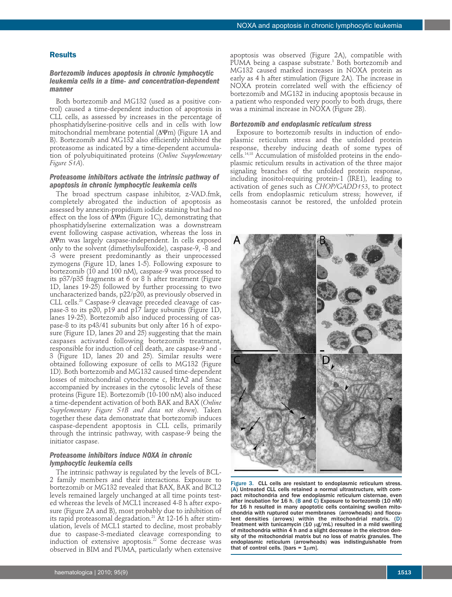# **Results**

# *Bortezomib induces apoptosis in chronic lymphocytic leukemia cells in a time- and concentration-dependent manner*

Both bortezomib and MG132 (used as a positive control) caused a time-dependent induction of apoptosis in CLL cells, as assessed by increases in the percentage of phosphatidylserine-positive cells and in cells with low mitochondrial membrane potential (ΔYm) (Figure 1A and B). Bortezomib and MG132 also efficiently inhibited the proteasome as indicated by a time-dependent accumulation of polyubiquitinated proteins (*Online Supplementary Figure S1A*).

# *Proteasome inhibitors activate the intrinsic pathway of apoptosis in chronic lymphocytic leukemia cells*

The broad spectrum caspase inhibitor, z-VAD.fmk, completely abrogated the induction of apoptosis as assessed by annexin-propidium iodide staining but had no effect on the loss of  $\Delta \Psi$ m (Figure 1C), demonstrating that phosphatidylserine externalization was a downstream event following caspase activation, whereas the loss in ΔYm was largely caspase-independent. In cells exposed only to the solvent (dimethylsulfoxide), caspase-9, -8 and -3 were present predominantly as their unprocessed zymogens (Figure 1D, lanes 1-5). Following exposure to bortezomib (10 and 100 nM), caspase-9 was processed to its p37/p35 fragments at 6 or 8 h after treatment (Figure 1D, lanes 19-25) followed by further processing to two uncharacterized bands, p22/p20, as previously observed in CLL cells. <sup>20</sup> Caspase-9 cleavage preceded cleavage of caspase-3 to its p20, p19 and p17 large subunits (Figure 1D, lanes 19-25). Bortezomib also induced processing of caspase-8 to its p43/41 subunits but only after 16 h of exposure (Figure 1D, lanes 20 and 25) suggesting that the main caspases activated following bortezomib treatment, responsible for induction of cell death, are caspase-9 and - 3 (Figure 1D, lanes 20 and 25). Similar results were obtained following exposure of cells to MG132 (Figure 1D). Both bortezomib and MG132 caused time-dependent losses of mitochondrial cytochrome c, HtrA2 and Smac accompanied by increases in the cytosolic levels of these proteins (Figure 1E). Bortezomib (10-100 nM) also induced a time-dependent activation of both BAK and BAX (*Online Supplementary Figure S1B and data not shown*). Taken together these data demonstrate that bortezomib induces caspase-dependent apoptosis in CLL cells, primarily through the intrinsic pathway, with caspase-9 being the initiator caspase.

# *Proteasome inhibitors induce NOXA in chronic lymphocytic leukemia cells*

The intrinsic pathway is regulated by the levels of BCL-2 family members and their interactions. Exposure to bortezomib or MG132 revealed that BAX, BAK and BCL2 levels remained largely unchanged at all time points tested whereas the levels of MCL1 increased 4-8 h after exposure (Figure 2A and B), most probably due to inhibition of its rapid proteasomal degradation. <sup>21</sup> At 12-16 h after stimulation, levels of MCL1 started to decline, most probably due to caspase-3-mediated cleavage corresponding to induction of extensive apoptosis. <sup>22</sup> Some decrease was observed in BIM and PUMA, particularly when extensive

apoptosis was observed (Figure 2A), compatible with PUMA being a caspase substrate. <sup>3</sup> Both bortezomib and MG132 caused marked increases in NOXA protein as early as 4 h after stimulation (Figure 2A). The increase in NOXA protein correlated well with the efficiency of bortezomib and MG132 in inducing apoptosis because in a patient who responded very poorly to both drugs, there was a minimal increase in NOXA (Figure 2B).

# *Bortezomib and endoplasmic reticulum stress*

Exposure to bortezomib results in induction of endoplasmic reticulum stress and the unfolded protein response, thereby inducing death of some types of cells. 14,18 Accumulation of misfolded proteins in the endoplasmic reticulum results in activation of the three major signaling branches of the unfolded protein response, including inositol-requiring protein-1 (IRE1), leading to activation of genes such as *CHOP/GADD153*, to protect cells from endoplasmic reticulum stress; however, if homeostasis cannot be restored, the unfolded protein



Figure 3. CLL cells are resistant to endoplasmic reticulum stress. (A) Untreated CLL cells retained a normal ultrastructure, with compact mitochondria and few endoplasmic reticulum cisternae, even after incubation for 16 h. (B and C) Exposure to bortezomib (10 nM) for 16 h resulted in many apoptotic cells containing swollen mitochondria with ruptured outer membranes (arrowheads) and flocculent densities (arrows) within the mitochondrial matrix. (D) Treatment with tunicamycin (10  $\mu$ g/mL) resulted in a mild swelling of mitochondria within 4 h and a slight decrease in the electron density of the mitochondrial matrix but no loss of matrix granules. The endoplasmic reticulum (arrowheads) was indistinguishable from that of control cells. [bars =  $1\mu$ m].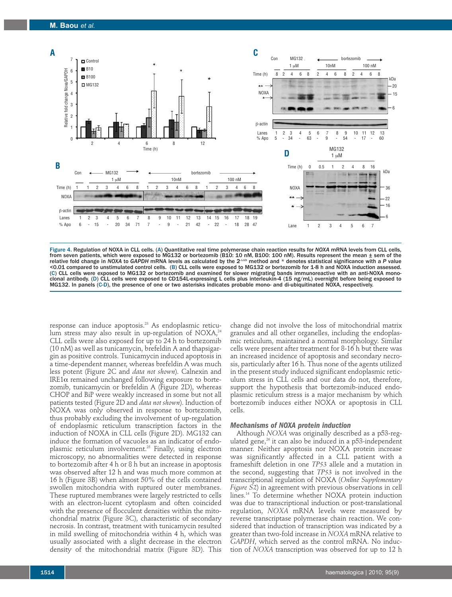

Figure 4. Regulation of NOXA in CLL cells. (A) Quantitative real time polymerase chain reaction results for *NOXA* mRNA levels from CLL cells, from seven patients, which were exposed to MG132 or bortezomib (B10: 10 nM, B100: 100 nM). Results represent the mean ± sem of the relative fold change in NOXA to GAPDH mRNA levels as calculated by the 2<sup>-ΔΔCt</sup> method and \* denotes statistical significance with a P value <0.01 compared to unstimulated control cells. (B) CLL cells were exposed to MG132 or bortezomib for 1-8 h and NOXA induction assessed. (C) CLL cells were exposed to MG132 or bortezomib and examined for slower migrating bands immunoreactive with an anti-NOXA monoclonal antibody. (D) CLL cells were exposed to CD154L-expressing L cells plus interleukin-4 (15 ng/mL) overnight before being exposed to MG132. In panels (C-D), the presence of one or two asterisks indicates probable mono- and di-ubiquitinated NOXA, respectively.

response can induce apoptosis. <sup>23</sup> As endoplasmic reticulum stress may also result in up-regulation of NOXA, $^{\scriptscriptstyle 24}$ CLL cells were also exposed for up to 24 h to bortezomib (10 nM) as well as tunicamycin, brefeldin A and thapsigargin as positive controls. Tunicamycin induced apoptosis in a time-dependent manner, whereas brefeldin A was much less potent (Figure 2C and *data not shown*). Calnexin and IRE1α remained unchanged following exposure to bortezomib, tunicamycin or brefeldin A (Figure 2D), whereas CHOP and BiP were weakly increased in some but not all patients tested (Figure 2D and *data not shown*). Induction of NOXA was only observed in response to bortezomib, thus probably excluding the involvement of up-regulation of endoplasmic reticulum transcription factors in the induction of NOXA in CLL cells (Figure 2D). MG132 can induce the formation of vacuoles as an indicator of endoplasmic reticulum involvement. <sup>25</sup> Finally, using electron microscopy, no abnormalities were detected in response to bortezomib after 4 h or 8 h but an increase in apoptosis was observed after 12 h and was much more common at 16 h (Figure 3B) when almost 50% of the cells contained swollen mitochondria with ruptured outer membranes. These ruptured membranes were largely restricted to cells with an electron-lucent cytoplasm and often coincided with the presence of flocculent densities within the mitochondrial matrix (Figure 3C), characteristic of secondary necrosis. In contrast, treatment with tunicamycin resulted in mild swelling of mitochondria within 4 h, which was usually associated with a slight decrease in the electron density of the mitochondrial matrix (Figure 3D). This

change did not involve the loss of mitochondrial matrix granules and all other organelles, including the endoplasmic reticulum, maintained a normal morphology. Similar cells were present after treatment for 8-16 h but there was an increased incidence of apoptosis and secondary necrosis, particularly after 16 h. Thus none of the agents utilized in the present study induced significant endoplasmic reticulum stress in CLL cells and our data do not, therefore, support the hypothesis that bortezomib-induced endoplasmic reticulum stress is a major mechanism by which bortezomib induces either NOXA or apoptosis in CLL cells.

#### *Mechanisms of NOXA protein induction*

Although *NOXA* was originally described as a p53-regulated gene, <sup>26</sup> it can also be induced in a p53-independent manner. Neither apoptosis nor NOXA protein increase was significantly affected in a CLL patient with a frameshift deletion in one *TP53* allele and a mutation in the second, suggesting that *TP53* is not involved in the transcriptional regulation of NOXA (*Online Supplementary Figure S2*) in agreement with previous observations in cell lines. <sup>14</sup> To determine whether NOXA protein induction was due to transcriptional induction or post-translational regulation, *NOXA* mRNA levels were measured by reverse transcriptase polymerase chain reaction. We considered that induction of transcription was indicated by a greater than two-fold increase in *NOXA* mRNA relative to *GAPDH*, which served as the control mRNA. No induction of *NOXA* transcription was observed for up to 12 h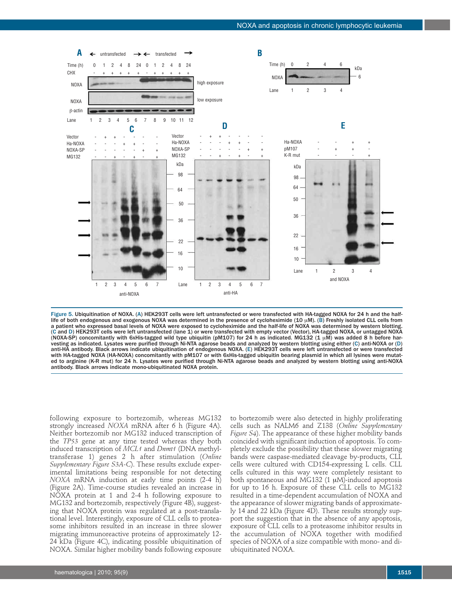

Figure 5. Ubiquitination of NOXA. (A) HEK293T cells were left untransfected or were transfected with HA-tagged NOXA for 24 h and the halflife of both endogenous and exogenous NOXA was determined in the presence of cycloheximide (10 µM). (B) Freshly isolated CLL cells from a patient who expressed basal levels of NOXA were exposed to cycloheximide and the half-life of NOXA was determined by western blotting. (C and D) HEK293T cells were left untransfected (lane 1) or were transfected with empty vector (Vector), HA-tagged NOXA, or untagged NOXA (NOXA-SP) concomitantly with 6xHis-tagged wild type ubiquitin (pM107) for 24 h as indicated. MG132 (1  $\mu$ M) was added 8 h before harvesting as indicated. Lysates were purified through Ni-NTA agarose beads and analyzed by western blotting using either (C) anti-NOXA or (D) anti-HA antibody. Black arrows indicate ubiquitination of endogenous NOXA. (E) HEK293T cells were left untransfected or were transfected with HA-tagged NOXA (HA-NOXA) concomitantly with pM107 or with 6xHis-tagged ubiquitin bearing plasmid in which all lysines were mutated to arginine (K-R mut) for 24 h. Lysates were purified through Ni-NTA agarose beads and analyzed by western blotting using anti-NOXA antibody. Black arrows indicate mono-ubiquitinated NOXA protein.

following exposure to bortezomib, whereas MG132 strongly increased *NOXA* mRNA after 6 h (Figure 4A). Neither bortezomib nor MG132 induced transcription of the *TP53* gene at any time tested whereas they both induced transcription of *MCL1* and *Dnmt1* (DNA methyltransferase 1) genes 2 h after stimulation (*Online Supplementary Figure S3A-C*). These results exclude experimental limitations being responsible for not detecting *NOXA* mRNA induction at early time points (2-4 h) (Figure 2A). Time-course studies revealed an increase in NOXA protein at 1 and 2-4 h following exposure to MG132 and bortezomib, respectively (Figure 4B), suggesting that NOXA protein was regulated at a post-translational level. Interestingly, exposure of CLL cells to proteasome inhibitors resulted in an increase in three slower migrating immunoreactive proteins of approximately 12- 24 kDa (Figure 4C), indicating possible ubiquitination of NOXA. Similar higher mobility bands following exposure

to bortezomib were also detected in highly proliferating cells such as NALM6 and Z138 (*Online Supplementary Figure S4*). The appearance of these higher mobility bands coincided with significant induction of apoptosis. To completely exclude the possibility that these slower migrating bands were caspase-mediated cleavage by-products, CLL cells were cultured with CD154-expressing L cells. CLL cells cultured in this way were completely resistant to both spontaneous and MG132 (1 µM)-induced apoptosis for up to 16 h. Exposure of these CLL cells to MG132 resulted in a time-dependent accumulation of NOXA and the appearance of slower migrating bands of approximately 14 and 22 kDa (Figure 4D). These results strongly support the suggestion that in the absence of any apoptosis, exposure of CLL cells to a proteasome inhibitor results in the accumulation of NOXA together with modified species of NOXA of a size compatible with mono- and diubiquitinated NOXA.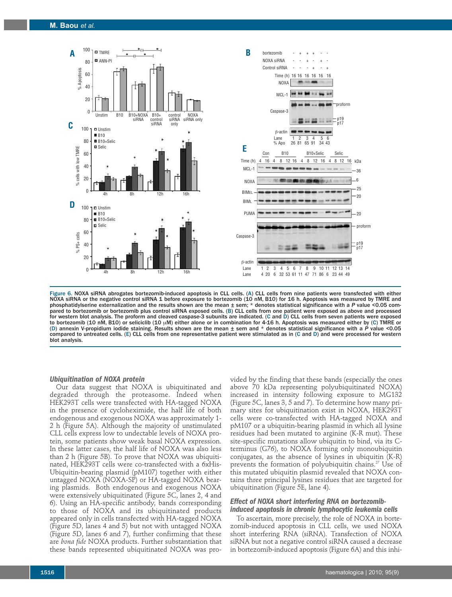

Figure 6. NOXA siRNA abrogates bortezomib-induced apoptosis in CLL cells. (A) CLL cells from nine patients were transfected with either NOXA siRNA or the negative control siRNA 1 before exposure to bortezomib (10 nM, B10) for 16 h. Apoptosis was measured by TMRE and phosphatidylserine externalization and the results shown are the mean ± sem; \* denotes statistical significance with a *P* value <0.05 compared to bortezomib or bortezomib plus control siRNA exposed cells. (B) CLL cells from one patient were exposed as above and processed for western blot analysis. The proform and cleaved caspase-3 subunits are indicated. (C and D) CLL cells from seven patients were exposed to bortezomib (10 nM, B10) or seliciclib (10 µM) either alone or in combination for 4-16 h. Apoptosis was measured either by (C) TMRE or (D) annexin V-propidium iodide staining. Results shown are the mean ± sem and \* denotes statistical significance with a *P* value <0.05 compared to untreated cells. (E) CLL cells from one representative patient were stimulated as in (C and D) and were processed for western blot analysis.

#### *Ubiquitination of NOXA protein*

Our data suggest that NOXA is ubiquitinated and degraded through the proteasome. Indeed when HEK293T cells were transfected with HA-tagged NOXA in the presence of cycloheximide, the half life of both endogenous and exogenous NOXA was approximately 1- 2 h (Figure 5A). Although the majority of unstimulated CLL cells express low to undectable levels of NOXA protein, some patients show weak basal NOXA expression. In these latter cases, the half life of NOXA was also less than 2 h (Figure 5B). To prove that NOXA was ubiquitinated, HEK293T cells were co-transfected with a 6xHis-Ubiquitin-bearing plasmid (pM107) together with either untagged NOXA (NOXA-SP) or HA-tagged NOXA bearing plasmids. Both endogenous and exogenous NOXA were extensively ubiquitinated (Figure 5C, lanes 2, 4 and 6). Using an HA-specific antibody, bands corresponding to those of NOXA and its ubiquitinated products appeared only in cells transfected with HA-tagged NOXA (Figure 5D, lanes 4 and 5) but not with untagged NOXA (Figure 5D, lanes 6 and 7), further confirming that these are *bona fide* NOXA products. Further substantiation that these bands represented ubiquitinated NOXA was pro-

vided by the finding that these bands (especially the ones above 70 kDa representing polyubiquitinated NOXA) increased in intensity following exposure to MG132 (Figure 5C, lanes 3, 5 and 7). To determine how many primary sites for ubiquitination exist in NOXA, HEK293T cells were co-transfected with HA-tagged NOXA and pM107 or a ubiquitin-bearing plasmid in which all lysine residues had been mutated to arginine (K-R mut). These site-specific mutations allow ubiquitin to bind, via its Cterminus (G76), to NOXA forming only monoubiquitin conjugates, as the absence of lysines in ubiquitin (K-R) prevents the formation of polyubiquitin chains. <sup>27</sup> Use of this mutated ubiquitin plasmid revealed that NOXA contains three principal lysines residues that are targeted for ubiquitination (Figure 5E, lane 4).

# *Effect of NOXA short interfering RNA on bortezomib- induced apoptosis in chronic lymphocytic leukemia cells*

To ascertain, more precisely, the role of NOXA in bortezomib-induced apoptosis in CLL cells, we used NOXA short interfering RNA (siRNA). Transfection of NOXA siRNA but not a negative control siRNA caused a decrease in bortezomib-induced apoptosis (Figure 6A) and this inhi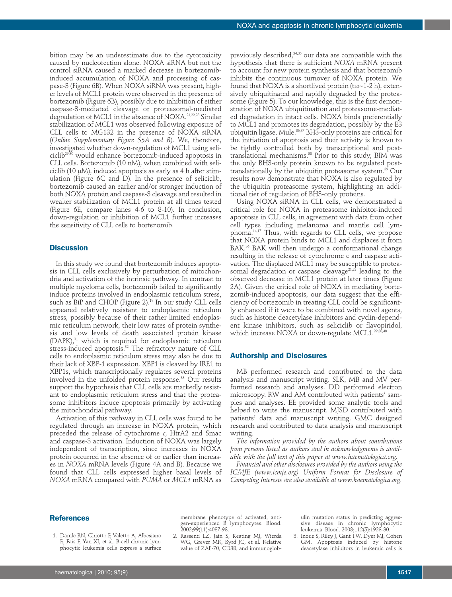bition may be an underestimate due to the cytotoxicity caused by nucleofection alone. NOXA siRNA but not the control siRNA caused a marked decrease in bortezomibinduced accumulation of NOXA and processing of caspase-3 (Figure 6B). When NOXA siRNA was present, higher levels of MCL1 protein were observed in the presence of bortezomib (Figure 6B), possibly due to inhibition of either caspase-3-mediated cleavage or proteasomal-mediated degradation of MCL1 in the absence of NOXA. 21,22,28 Similar stabilization of MCL1 was observed following exposure of CLL cells to MG132 in the presence of NOXA siRNA (*Online Supplementary Figure S5A and B*). We, therefore, investigated whether down-regulation of MCL1 using seliciclib29,30 would enhance bortezomib-induced apoptosis in CLL cells. Bortezomib (10 nM), when combined with seliciclib (10  $\mu$ M), induced apoptosis as early as 4 h after stimulation (Figure 6C and D). In the presence of seliciclib, bortezomib caused an earlier and/or stronger induction of both NOXA protein and caspase-3 cleavage and resulted in weaker stabilization of MCL1 protein at all times tested (Figure 6E, compare lanes 4-6 to 8-10). In conclusion, down-regulation or inhibition of MCL1 further increases the sensitivity of CLL cells to bortezomib.

#### **Discussion**

In this study we found that bortezomib induces apoptosis in CLL cells exclusively by perturbation of mitochondria and activation of the intrinsic pathway. In contrast to multiple myeloma cells, bortezomib failed to significantly induce proteins involved in endoplasmic reticulum stress, such as BiP and CHOP (Figure 2). <sup>19</sup> In our study CLL cells appeared relatively resistant to endoplasmic reticulum stress, possibly because of their rather limited endoplasmic reticulum network, their low rates of protein synthesis and low levels of death associated protein kinase (DAPK), <sup>31</sup> which is required for endoplasmic reticulum stress-induced apoptosis. <sup>32</sup> The refractory nature of CLL cells to endoplasmic reticulum stress may also be due to their lack of XBP-1 expression. XBP1 is cleaved by IRE1 to XBP1s, which transcriptionally regulates several proteins involved in the unfolded protein response. <sup>33</sup> Our results support the hypothesis that CLL cells are markedly resistant to endoplasmic reticulum stress and that the proteasome inhibitors induce apoptosis primarily by activating the mitochondrial pathway.

Activation of this pathway in CLL cells was found to be regulated through an increase in NOXA protein, which preceded the release of cytochrome *c*, HtrA2 and Smac and caspase-3 activation. Induction of NOXA was largely independent of transcription, since increases in NOXA protein occurred in the absence of or earlier than increases in *NOXA* mRNA levels (Figure 4A and B). Because we found that CLL cells expressed higher basal levels of *NOXA* mRNA compared with *PUMA* or *MCL1* mRNA as

previously described, 34,35 our data are compatible with the hypothesis that there is sufficient *NOXA* mRNA present to account for new protein synthesis and that bortezomib inhibits the continuous turnover of NOXA protein. We found that NOXA is a shortlived protein ( $t_{1/2}$ ~1-2 h), extensively ubiquitinated and rapidly degraded by the proteasome (Figure 5). To our knowledge, this is the first demonstration of NOXA ubiquitination and proteasome-mediated degradation in intact cells. NOXA binds preferentially to MCL1 and promotes its degradation, possibly by the E3 ubiquitin ligase, Mule. 36,37 BH3-only proteins are critical for the initiation of apoptosis and their activity is known to be tightly controlled both by transcriptional and posttranslational mechanisms. <sup>38</sup> Prior to this study, BIM was the only BH3-only protein known to be regulated posttranslationally by the ubiquitin proteasome system. <sup>39</sup> Our results now demonstrate that NOXA is also regulated by the ubiquitin proteasome system, highlighting an additional tier of regulation of BH3-only proteins.

Using NOXA siRNA in CLL cells, we demonstrated a critical role for NOXA in proteasome inhibitor-induced apoptosis in CLL cells, in agreement with data from other cell types including melanoma and mantle cell lymphoma. 14,17 Thus, with regards to CLL cells, we propose that NOXA protein binds to MCL1 and displaces it from BAK. <sup>36</sup> BAK will then undergo a conformational change resulting in the release of cytochrome c and caspase activation. The displaced MCL1 may be susceptible to proteasomal degradation or caspase cleavage<sup>21,22</sup> leading to the observed decrease in MCL1 protein at later times (Figure 2A). Given the critical role of NOXA in mediating bortezomib-induced apoptosis, our data suggest that the efficiency of bortezomib in treating CLL could be significantly enhanced if it were to be combined with novel agents, such as histone deacetylase inhibitors and cyclin-dependent kinase inhibitors, such as seliciclib or flavopiridol, which increase NOXA or down-regulate MCL1. 29,30,40

#### **Authorship and Disclosures**

MB performed research and contributed to the data analysis and manuscript writing. SLK, MB and MV performed research and analyses. DD performed electron microscopy. RW and AM contributed with patients' samples and analyses. EE provided some analytic tools and helped to write the manuscript. MJSD contributed with patients' data and manuscript writing. GMC designed research and contributed to data analysis and manuscript writing.

*The information provided by the authors about contributions from persons listed as authors and in acknowledgments is available with the full text of this paper at www.haematologica.org.*

*Financial and other disclosures provided by the authors using the ICMJE (www.icmje.org) Uniform Format for Disclosure of Competing Interests are also available at www.haematologica.org.*

# **References**

1. Damle RN, Ghiotto F, Valetto A, Albesiano E, Fais F, Yan XJ, et al. B-cell chronic lymphocytic leukemia cells express a surface membrane phenotype of activated, antigen-experienced B lymphocytes. Blood. 2002;99(11):4087-93.

2. Rassenti LZ, Jain S, Keating MJ, Wierda WG, Grever MR, Byrd JC, et al. Relative value of ZAP-70, CD38, and immunoglobulin mutation status in predicting aggressive disease in chronic lymphocytic leukemia. Blood. 2008;112(5):1923-30.

3. Inoue S, Riley J, Gant TW, Dyer MJ, Cohen GM. Apoptosis induced by histone deacetylase inhibitors in leukemic cells is